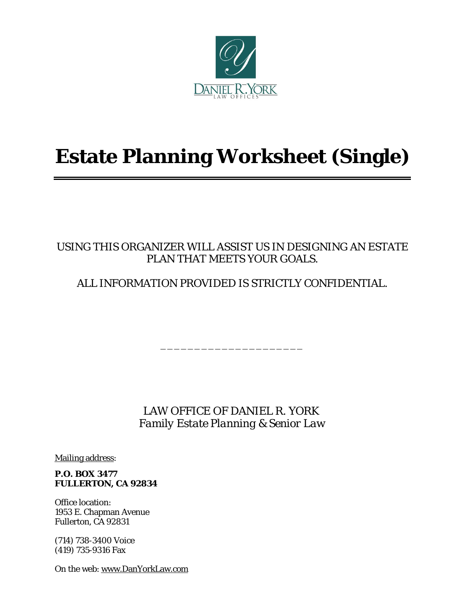

# **Estate Planning Worksheet (Single)**

## USING THIS ORGANIZER WILL ASSIST US IN DESIGNING AN ESTATE PLAN THAT MEETS YOUR GOALS.

ALL INFORMATION PROVIDED IS STRICTLY CONFIDENTIAL.

\_\_\_\_\_\_\_\_\_\_\_\_\_\_\_\_\_\_\_\_\_

 LAW OFFICE OF DANIEL R. YORK *Family Estate Planning & Senior Law*

Mailing address:

**P.O. BOX 3477 FULLERTON, CA 92834**

Office location: 1953 E. Chapman Avenue Fullerton, CA 92831

(714) 738-3400 Voice (419) 735-9316 Fax

On the web: www.DanYorkLaw.com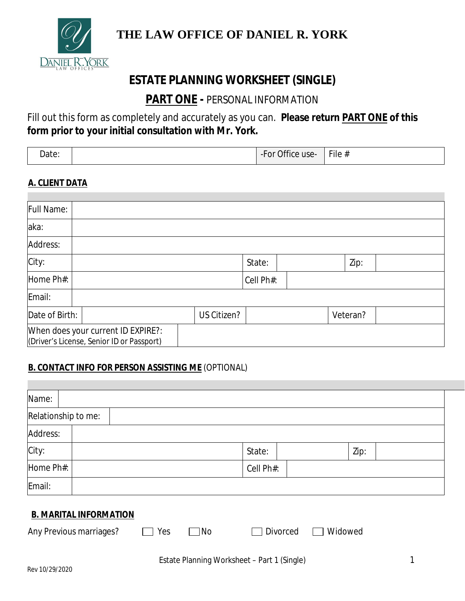

# **THE LAW OFFICE OF DANIEL R. YORK**

# **ESTATE PLANNING WORKSHEET (SINGLE)**

# **PART ONE -** PERSONAL INFORMATION

Fill out this form as completely and accurately as you can. **Please return PART ONE of this form prior to your initial consultation with Mr. York.**

| -<br>ata<br>Date. |  | $\sim$ $\sim$<br>$\sim$<br>$\sim$<br>$\sim$ 10 $\sim$<br>υı<br>-<br>UIILE<br>- -<br>uou<br>$  -$ | Fig. 4 |
|-------------------|--|--------------------------------------------------------------------------------------------------|--------|
|-------------------|--|--------------------------------------------------------------------------------------------------|--------|

#### **A. CLIENT DATA**

| Full Name:     |                                                                                 |             |           |          |  |
|----------------|---------------------------------------------------------------------------------|-------------|-----------|----------|--|
| aka:           |                                                                                 |             |           |          |  |
| Address:       |                                                                                 |             |           |          |  |
| City:          |                                                                                 |             | State:    | Zip:     |  |
| Home Ph#:      |                                                                                 |             | Cell Ph#: |          |  |
| Email:         |                                                                                 |             |           |          |  |
| Date of Birth: |                                                                                 | US Citizen? |           | Veteran? |  |
|                | When does your current ID EXPIRE?:<br>(Driver's License, Senior ID or Passport) |             |           |          |  |

### **B. CONTACT INFO FOR PERSON ASSISTING ME** (OPTIONAL)

| Name:                                                                  |                                             |
|------------------------------------------------------------------------|---------------------------------------------|
| Relationship to me:                                                    |                                             |
| Address:                                                               |                                             |
| City:                                                                  | Zip:<br>State:                              |
| Home Ph#:                                                              | Cell Ph#:                                   |
| Email:                                                                 |                                             |
| <b>B. MARITAL INFORMATION</b><br>Any Previous marriages?<br>Yes<br> No | Widowed<br>Divorced                         |
|                                                                        |                                             |
|                                                                        | Estate Planning Worksheet - Part 1 (Single) |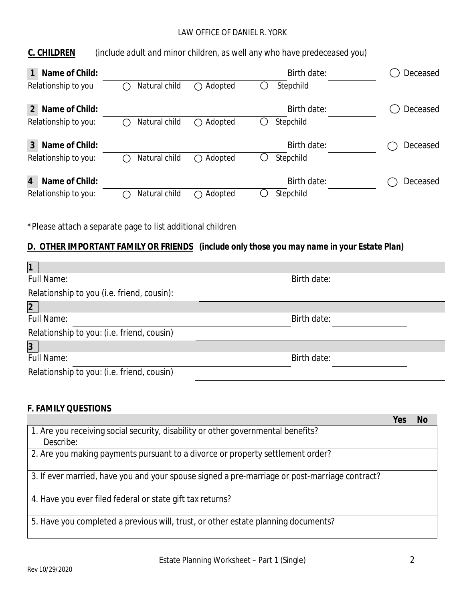#### LAW OFFICE OF DANIEL R. YORK

| C. CHILDREN | (include adult and minor children, as well any who have predeceased you) |
|-------------|--------------------------------------------------------------------------|
|-------------|--------------------------------------------------------------------------|

| Name of Child:                   |               |                | Birth date: | Deceased |
|----------------------------------|---------------|----------------|-------------|----------|
| Relationship to you              | Natural child | Adopted<br>( ) | Stepchild   |          |
| Name of Child:<br>2              |               |                | Birth date: | Deceased |
| Relationship to you:             | Natural child | Adopted        | Stepchild   |          |
| Name of Child:<br>3              |               |                | Birth date: | Deceased |
| Relationship to you:             | Natural child | Adopted        | Stepchild   |          |
| $\overline{4}$<br>Name of Child: |               |                | Birth date: | Deceased |
| Relationship to you:             | Natural child | Adopted        | Stepchild   |          |

\*Please attach a separate page to list additional children

### **D. OTHER IMPORTANT FAMILY OR FRIENDS** *(include only those you may name in your Estate Plan)*

| $\vert$ 1                                  |             |  |
|--------------------------------------------|-------------|--|
| <b>Full Name:</b>                          | Birth date: |  |
| Relationship to you (i.e. friend, cousin): |             |  |
| $\overline{2}$                             |             |  |
| <b>Full Name:</b>                          | Birth date: |  |
| Relationship to you: (i.e. friend, cousin) |             |  |
| $\overline{3}$                             |             |  |
| <b>Full Name:</b>                          | Birth date: |  |
| Relationship to you: (i.e. friend, cousin) |             |  |
|                                            |             |  |

#### **F. FAMILY QUESTIONS**

|                                                                                               | Υρς | N٥ |
|-----------------------------------------------------------------------------------------------|-----|----|
| 1. Are you receiving social security, disability or other governmental benefits?              |     |    |
| Describe:                                                                                     |     |    |
| 2. Are you making payments pursuant to a divorce or property settlement order?                |     |    |
| 3. If ever married, have you and your spouse signed a pre-marriage or post-marriage contract? |     |    |
| 4. Have you ever filed federal or state gift tax returns?                                     |     |    |
| 5. Have you completed a previous will, trust, or other estate planning documents?             |     |    |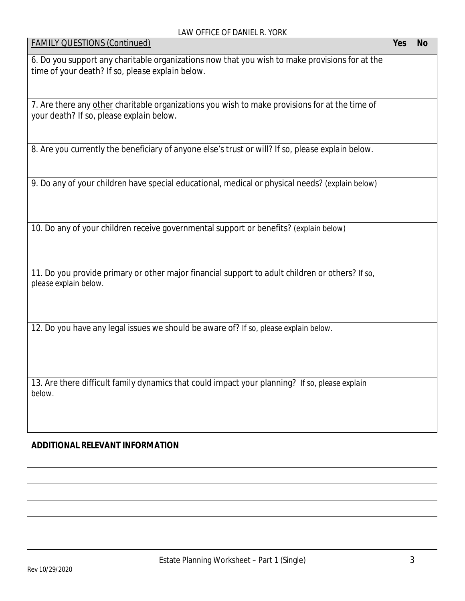| <b>FAMILY QUESTIONS (Continued)</b>                                                                                                                | Yes | <b>No</b> |
|----------------------------------------------------------------------------------------------------------------------------------------------------|-----|-----------|
| 6. Do you support any charitable organizations now that you wish to make provisions for at the<br>time of your death? If so, please explain below. |     |           |
| 7. Are there any other charitable organizations you wish to make provisions for at the time of<br>your death? If so, please explain below.         |     |           |
| 8. Are you currently the beneficiary of anyone else's trust or will? If so, please explain below.                                                  |     |           |
| 9. Do any of your children have special educational, medical or physical needs? (explain below)                                                    |     |           |
| 10. Do any of your children receive governmental support or benefits? (explain below)                                                              |     |           |
| 11. Do you provide primary or other major financial support to adult children or others? If so,<br>please explain below.                           |     |           |
| 12. Do you have any legal issues we should be aware of? If so, please explain below.                                                               |     |           |
| 13. Are there difficult family dynamics that could impact your planning? If so, please explain<br>below.                                           |     |           |

### **ADDITIONAL RELEVANT INFORMATION**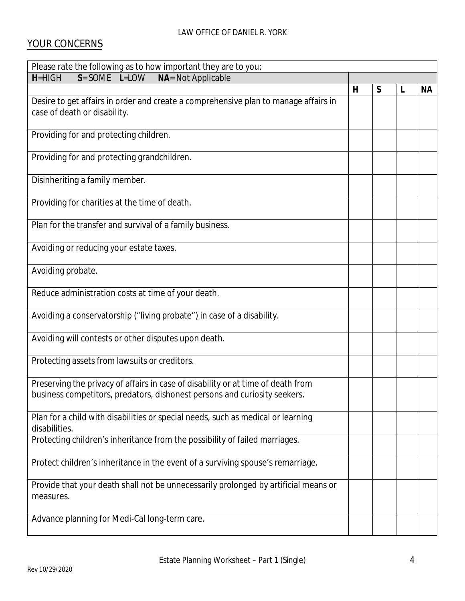### YOUR CONCERNS

| Please rate the following as to how important they are to you:                                                                                                |              |   |   |           |
|---------------------------------------------------------------------------------------------------------------------------------------------------------------|--------------|---|---|-----------|
| $S = SOME$ L=LOW<br>NA= Not Applicable<br>$H = H \cup H$                                                                                                      |              |   |   |           |
|                                                                                                                                                               | $\mathsf{H}$ | S | L | <b>NA</b> |
| Desire to get affairs in order and create a comprehensive plan to manage affairs in<br>case of death or disability.                                           |              |   |   |           |
| Providing for and protecting children.                                                                                                                        |              |   |   |           |
| Providing for and protecting grandchildren.                                                                                                                   |              |   |   |           |
| Disinheriting a family member.                                                                                                                                |              |   |   |           |
| Providing for charities at the time of death.                                                                                                                 |              |   |   |           |
| Plan for the transfer and survival of a family business.                                                                                                      |              |   |   |           |
| Avoiding or reducing your estate taxes.                                                                                                                       |              |   |   |           |
| Avoiding probate.                                                                                                                                             |              |   |   |           |
| Reduce administration costs at time of your death.                                                                                                            |              |   |   |           |
| Avoiding a conservatorship ("living probate") in case of a disability.                                                                                        |              |   |   |           |
| Avoiding will contests or other disputes upon death.                                                                                                          |              |   |   |           |
| Protecting assets from lawsuits or creditors.                                                                                                                 |              |   |   |           |
| Preserving the privacy of affairs in case of disability or at time of death from<br>business competitors, predators, dishonest persons and curiosity seekers. |              |   |   |           |
| Plan for a child with disabilities or special needs, such as medical or learning<br>disabilities.                                                             |              |   |   |           |
| Protecting children's inheritance from the possibility of failed marriages.                                                                                   |              |   |   |           |
| Protect children's inheritance in the event of a surviving spouse's remarriage.                                                                               |              |   |   |           |
| Provide that your death shall not be unnecessarily prolonged by artificial means or<br>measures.                                                              |              |   |   |           |
| Advance planning for Medi-Cal long-term care.                                                                                                                 |              |   |   |           |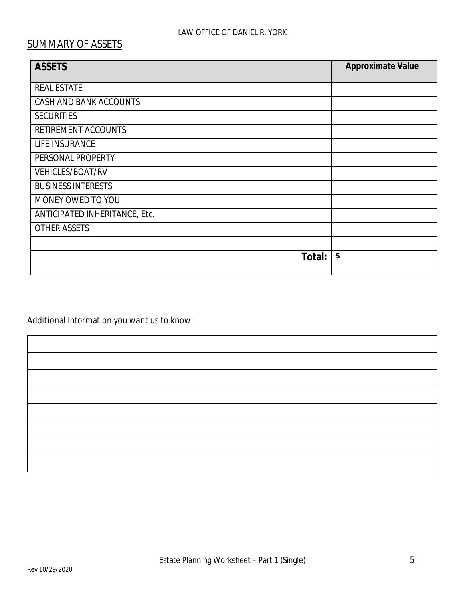#### LAW OFFICE OF DANIEL R. YORK

# SUMMARY OF ASSETS

| <b>ASSETS</b>                 | Approximate Value |
|-------------------------------|-------------------|
| <b>REAL ESTATE</b>            |                   |
| CASH AND BANK ACCOUNTS        |                   |
| <b>SECURITIES</b>             |                   |
| RETIREMENT ACCOUNTS           |                   |
| LIFE INSURANCE                |                   |
| PERSONAL PROPERTY             |                   |
| <b>VEHICLES/BOAT/RV</b>       |                   |
| <b>BUSINESS INTERESTS</b>     |                   |
| MONEY OWED TO YOU             |                   |
| ANTICIPATED INHERITANCE, Etc. |                   |
| <b>OTHER ASSETS</b>           |                   |
|                               |                   |
| Total:                        | \$                |

Additional Information you want us to know: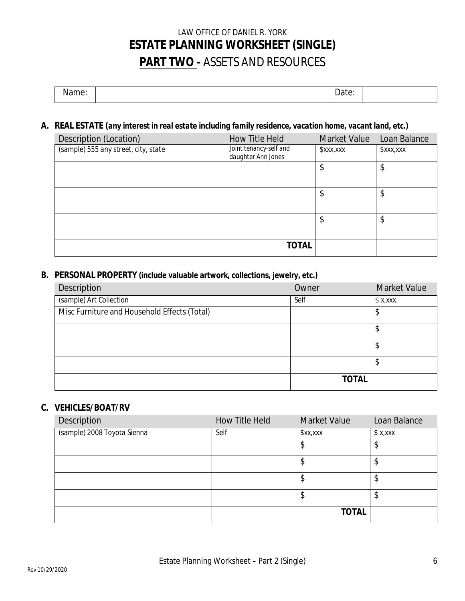# LAW OFFICE OF DANIEL R. YORK **ESTATE PLANNING WORKSHEET (SINGLE) PART TWO -** ASSETS AND RESOURCES

| - - - -<br>warne. | -<br>Date: |  |
|-------------------|------------|--|
|                   |            |  |

### **A. REAL ESTATE (***any interest in real estate including family residence, vacation home, vacant land, etc.)*

| Description (Location)               | How Title Held                               | Market Value | Loan Balance |
|--------------------------------------|----------------------------------------------|--------------|--------------|
| (sample) 555 any street, city, state | Joint tenancy-self and<br>daughter Ann Jones | \$xxx,xxx    | xx, x        |
|                                      |                                              | \$           | \$           |
|                                      |                                              |              |              |
|                                      |                                              |              |              |
|                                      |                                              | \$           | \$           |
|                                      |                                              |              |              |
|                                      |                                              | \$           | \$           |
|                                      |                                              |              |              |
|                                      | TOTAL                                        |              |              |

#### **B. PERSONAL PROPERTY (include valuable artwork, collections, jewelry, etc.)**

| Description                                  | Owner        | <b>Market Value</b> |
|----------------------------------------------|--------------|---------------------|
| (sample) Art Collection                      | Self         | $x,$ xxx.           |
| Misc Furniture and Household Effects (Total) |              | \$                  |
|                                              |              | \$                  |
|                                              |              | ጥ<br>Ф              |
|                                              |              | \$                  |
|                                              | <b>TOTAL</b> |                     |

#### **C. VEHICLES/BOAT/RV**

| Description                 | How Title Held | <b>Market Value</b> | Loan Balance |
|-----------------------------|----------------|---------------------|--------------|
| (sample) 2008 Toyota Sienna | Self           | x, x                | \$x,xxx      |
|                             |                | \$                  | \$           |
|                             |                | c<br>Φ              | Œ<br>D       |
|                             |                | \$                  | ጥ<br>Φ       |
|                             |                | \$                  | \$           |
|                             |                | <b>TOTAL</b>        |              |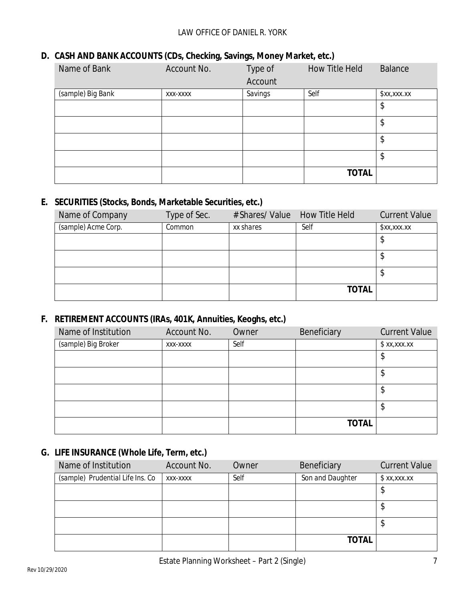### **D. CASH AND BANK ACCOUNTS (CDs, Checking, Savings, Money Market, etc.)**

| Name of Bank      | Account No. | Type of | How Title Held | Balance     |
|-------------------|-------------|---------|----------------|-------------|
|                   |             | Account |                |             |
| (sample) Big Bank | XXX-XXXX    | Savings | Self           | \$xx,xxx.xx |
|                   |             |         |                | \$          |
|                   |             |         |                | \$          |
|                   |             |         |                | \$          |
|                   |             |         |                | \$          |
|                   |             |         | <b>TOTAL</b>   |             |

### **E. SECURITIES (Stocks, Bonds, Marketable Securities, etc.)**

| Name of Company     | Type of Sec. | # Shares/ Value How Title Held |              | <b>Current Value</b> |
|---------------------|--------------|--------------------------------|--------------|----------------------|
| (sample) Acme Corp. | Common       | xx shares                      | Self         | \$xx,xxx.xx          |
|                     |              |                                |              |                      |
|                     |              |                                |              |                      |
|                     |              |                                |              |                      |
|                     |              |                                | <b>TOTAL</b> |                      |

### **F. RETIREMENT ACCOUNTS (IRAs, 401K, Annuities, Keoghs, etc.)**

| Name of Institution | Account No. | Owner | Beneficiary  | <b>Current Value</b> |
|---------------------|-------------|-------|--------------|----------------------|
| (sample) Big Broker | XXX-XXXX    | Self  |              | x, x, x              |
|                     |             |       |              | \$                   |
|                     |             |       |              | \$                   |
|                     |             |       |              | \$                   |
|                     |             |       |              | \$                   |
|                     |             |       | <b>TOTAL</b> |                      |

### **G. LIFE INSURANCE (Whole Life, Term, etc.)**

| Name of Institution              | Account No. | Owner | Beneficiary      | <b>Current Value</b> |
|----------------------------------|-------------|-------|------------------|----------------------|
| (sample) Prudential Life Ins. Co | XXX-XXXX    | Self  | Son and Daughter | \$xx,xxx.xx          |
|                                  |             |       |                  | ₽                    |
|                                  |             |       |                  | Ψ                    |
|                                  |             |       |                  | Ψ                    |
|                                  |             |       | <b>TOTAL</b>     |                      |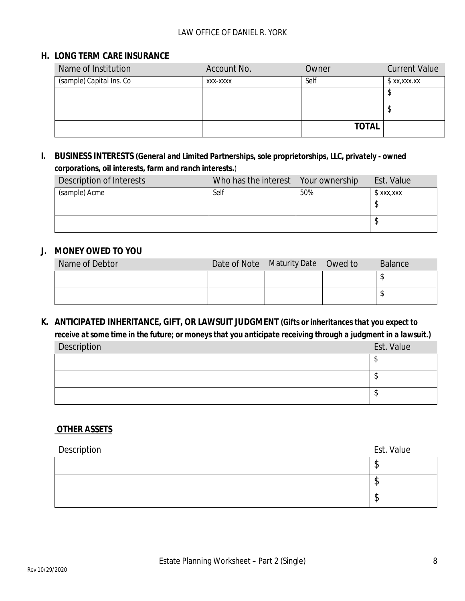#### LAW OFFICE OF DANIEL R. YORK

#### **H. LONG TERM CARE INSURANCE**

| Name of Institution      | Account No. | Owner        | <b>Current Value</b> |
|--------------------------|-------------|--------------|----------------------|
| (sample) Capital Ins. Co | XXX-XXXX    | Self         | \$XX,XXX,XX          |
|                          |             |              |                      |
|                          |             |              |                      |
|                          |             | <b>TOTAL</b> |                      |

**I. BUSINESS INTERESTS** *(General and Limited Partnerships, sole proprietorships, LLC, privately - owned corporations, oil interests, farm and ranch interests.)*

| Description of Interests | Who has the interest Your ownership |     | Est. Value |
|--------------------------|-------------------------------------|-----|------------|
| (sample) Acme            | Self                                | 50% | \$xxx,xxx  |
|                          |                                     |     |            |
|                          |                                     |     |            |

#### **J. MONEY OWED TO YOU**

| Name of Debtor | Date of Note Maturity Date Owed to | <b>Balance</b> |
|----------------|------------------------------------|----------------|
|                |                                    |                |
|                |                                    |                |

**K. ANTICIPATED INHERITANCE, GIFT, OR LAWSUIT JUDGMENT** *(Gifts or inheritances that you expect to receive at some time in the future; or moneys that you anticipate receiving through a judgment in a lawsuit.)*

| Description | Est. Value |
|-------------|------------|
|             |            |
|             |            |
|             |            |

#### **OTHER ASSETS**

| Description | Est. Value |
|-------------|------------|
|             | A.         |
|             | ٨IJ        |
|             | ۰IJ        |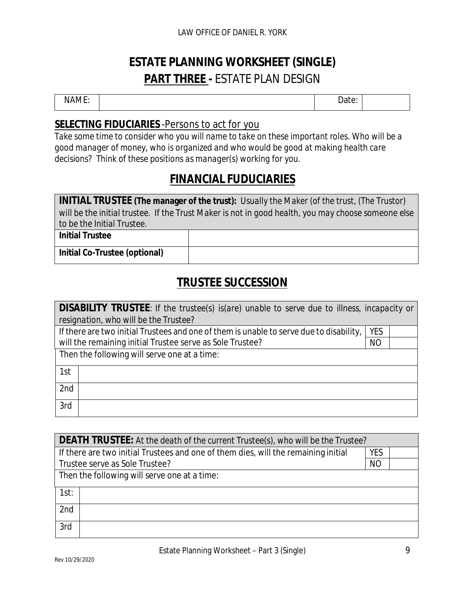# **ESTATE PLANNING WORKSHEET (SINGLE) PART THREE -** ESTATE PLAN DESIGN

NAME: NAME: 2001 - 2002 - 2003 - 2014 - 2014 - 2014 - 2014 - 2014 - 2014 - 2014 - 2014 - 2016 - 2016 - 2016 - 2016 - 2016 - 2016 - 2016 - 2016 - 2016 - 2016 - 2016 - 2017 - 2017 - 2017 - 2017 - 2017 - 2017 - 2017 - 2017 -

## **SELECTING FIDUCIARIES** -Persons to act for you

*Take some time to consider who you will name to take on these important roles. Who will be a good manager of money, who is organized and who would be good at making health care decisions? Think of these positions as manager(s) working for you.*

# **FINANCIAL FUDUCIARIES**

| INITIAL TRUSTEE (The manager of the trust): Usually the Maker (of the trust, (The Trustor)         |  |  |  |
|----------------------------------------------------------------------------------------------------|--|--|--|
| will be the initial trustee. If the Trust Maker is not in good health, you may choose someone else |  |  |  |
| to be the Initial Trustee.                                                                         |  |  |  |
| <b>Initial Trustee</b>                                                                             |  |  |  |
|                                                                                                    |  |  |  |
| Initial Co-Trustee (optional)                                                                      |  |  |  |

# **TRUSTEE SUCCESSION**

| DISABILITY TRUSTEE: If the trustee(s) is(are) unable to serve due to illness, incapacity or |            |  |  |
|---------------------------------------------------------------------------------------------|------------|--|--|
| resignation, who will be the Trustee?                                                       |            |  |  |
| If there are two initial Trustees and one of them is unable to serve due to disability,     | <b>YES</b> |  |  |
| will the remaining initial Trustee serve as Sole Trustee?<br><b>NO</b>                      |            |  |  |
| Then the following will serve one at a time:                                                |            |  |  |
| 1st                                                                                         |            |  |  |
| 2nd                                                                                         |            |  |  |
| 3rd                                                                                         |            |  |  |

| DEATH TRUSTEE: At the death of the current Trustee(s), who will be the Trustee?    |  |  |  |
|------------------------------------------------------------------------------------|--|--|--|
| If there are two initial Trustees and one of them dies, will the remaining initial |  |  |  |
| Trustee serve as Sole Trustee?                                                     |  |  |  |
| Then the following will serve one at a time:                                       |  |  |  |
| 1st:                                                                               |  |  |  |
| 2nd                                                                                |  |  |  |
| 3rd                                                                                |  |  |  |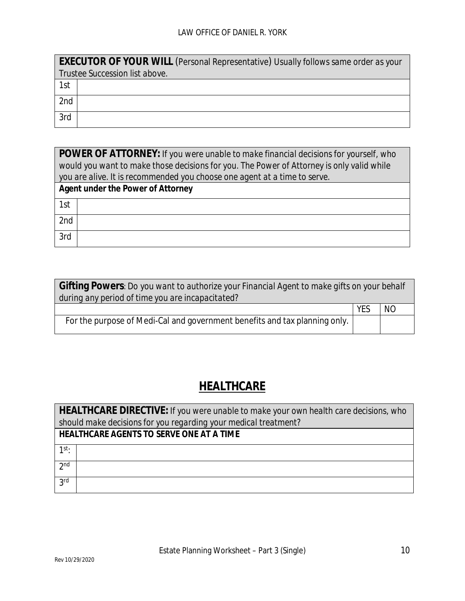|     | EXECUTOR OF YOUR WILL (Personal Representative) Usually follows same order as your |  |  |  |
|-----|------------------------------------------------------------------------------------|--|--|--|
|     | Trustee Succession list above.                                                     |  |  |  |
| 1st |                                                                                    |  |  |  |
| 2nd |                                                                                    |  |  |  |
| 3rd |                                                                                    |  |  |  |

| POWER OF ATTORNEY: If you were unable to make financial decisions for yourself, who       |  |  |  |
|-------------------------------------------------------------------------------------------|--|--|--|
| would you want to make those decisions for you. The Power of Attorney is only valid while |  |  |  |
| you are alive. It is recommended you choose one agent at a time to serve.                 |  |  |  |
| Agent under the Power of Attorney                                                         |  |  |  |
| 1st                                                                                       |  |  |  |
| 2nd                                                                                       |  |  |  |
| 3rd                                                                                       |  |  |  |

| Gifting Powers: Do you want to authorize your Financial Agent to make gifts on your behalf |            |           |  |
|--------------------------------------------------------------------------------------------|------------|-----------|--|
| during any period of time you are incapacitated?                                           |            |           |  |
|                                                                                            | <b>YFS</b> | <b>NO</b> |  |
| For the purpose of Medi-Cal and government benefits and tax planning only.                 |            |           |  |

# **HEALTHCARE**

| HEALTHCARE DIRECTIVE: If you were unable to make your own health care decisions, who |  |  |  |  |
|--------------------------------------------------------------------------------------|--|--|--|--|
| should make decisions for you regarding your medical treatment?                      |  |  |  |  |
| HEALTHCARE AGENTS TO SERVE ONE AT A TIME                                             |  |  |  |  |
| $1^{st}$                                                                             |  |  |  |  |
| 2 <sub>nd</sub>                                                                      |  |  |  |  |
| <b>2rd</b>                                                                           |  |  |  |  |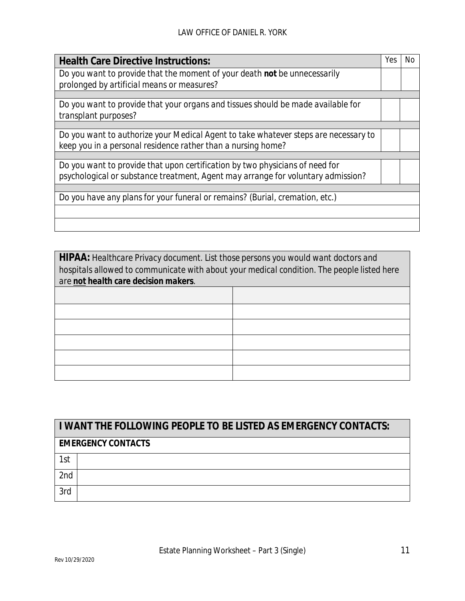| <b>Health Care Directive Instructions:</b>                                          | Yes | Nο |
|-------------------------------------------------------------------------------------|-----|----|
| Do you want to provide that the moment of your death not be unnecessarily           |     |    |
| prolonged by artificial means or measures?                                          |     |    |
|                                                                                     |     |    |
| Do you want to provide that your organs and tissues should be made available for    |     |    |
| transplant purposes?                                                                |     |    |
|                                                                                     |     |    |
| Do you want to authorize your Medical Agent to take whatever steps are necessary to |     |    |
| keep you in a personal residence rather than a nursing home?                        |     |    |
|                                                                                     |     |    |
| Do you want to provide that upon certification by two physicians of need for        |     |    |
| psychological or substance treatment, Agent may arrange for voluntary admission?    |     |    |
|                                                                                     |     |    |
| Do you have any plans for your funeral or remains? (Burial, cremation, etc.)        |     |    |
|                                                                                     |     |    |
|                                                                                     |     |    |

| HIPAA: Healthcare Privacy document. List those persons you would want doctors and<br>hospitals allowed to communicate with about your medical condition. The people listed here<br>are not health care decision makers. |  |  |
|-------------------------------------------------------------------------------------------------------------------------------------------------------------------------------------------------------------------------|--|--|
|                                                                                                                                                                                                                         |  |  |
|                                                                                                                                                                                                                         |  |  |
|                                                                                                                                                                                                                         |  |  |
|                                                                                                                                                                                                                         |  |  |
|                                                                                                                                                                                                                         |  |  |
|                                                                                                                                                                                                                         |  |  |

| I WANT THE FOLLOWING PEOPLE TO BE LISTED AS EMERGENCY CONTACTS: |  |
|-----------------------------------------------------------------|--|
| <b>EMERGENCY CONTACTS</b>                                       |  |
| 1st                                                             |  |
| 2 <sub>nd</sub>                                                 |  |
| 3rd                                                             |  |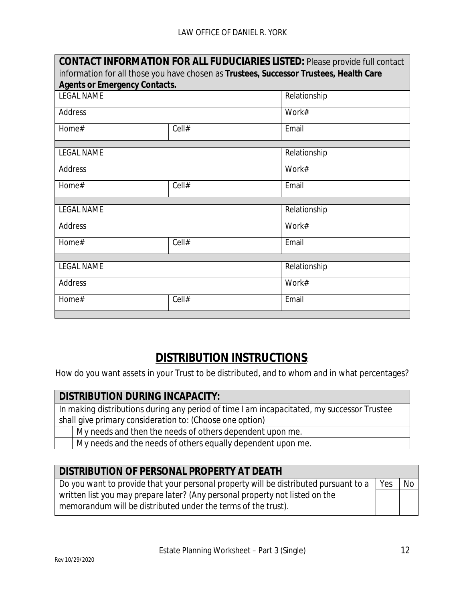| CONTACT INFORMATION FOR ALL FUDUCIARIES LISTED: Please provide full contact            |       |              |  |
|----------------------------------------------------------------------------------------|-------|--------------|--|
| information for all those you have chosen as Trustees, Successor Trustees, Health Care |       |              |  |
| <b>Agents or Emergency Contacts.</b>                                                   |       |              |  |
| <b>LEGAL NAME</b>                                                                      |       | Relationship |  |
| Address                                                                                |       | Work#        |  |
| Home#                                                                                  | Cell# | Email        |  |
|                                                                                        |       |              |  |
| <b>LEGAL NAME</b>                                                                      |       | Relationship |  |
| Address                                                                                |       | Work#        |  |
| Home#                                                                                  | Cell# | Email        |  |
|                                                                                        |       |              |  |
| <b>LEGAL NAME</b>                                                                      |       | Relationship |  |
| Address                                                                                |       | Work#        |  |
| Home#                                                                                  | Cell# | Email        |  |
|                                                                                        |       |              |  |
| <b>LEGAL NAME</b>                                                                      |       | Relationship |  |
| Address                                                                                |       | Work#        |  |
| Home#                                                                                  | Cell# | Email        |  |
|                                                                                        |       |              |  |

# **DISTRIBUTION INSTRUCTIONS**:

How do you want assets in your Trust to be distributed, and to whom and in what percentages?

#### **DISTRIBUTION DURING INCAPACITY:**

*In making distributions during any period of time I am incapacitated, my successor Trustee shall give primary consideration to: (Choose one option)*

My needs and then the needs of others dependent upon me.

My needs and the needs of others equally dependent upon me.

| DISTRIBUTION OF PERSONAL PROPERTY AT DEATH                                           |     |                 |
|--------------------------------------------------------------------------------------|-----|-----------------|
| Do you want to provide that your personal property will be distributed pursuant to a | Yes | No <sub>1</sub> |
| written list you may prepare later? (Any personal property not listed on the         |     |                 |
| memorandum will be distributed under the terms of the trust).                        |     |                 |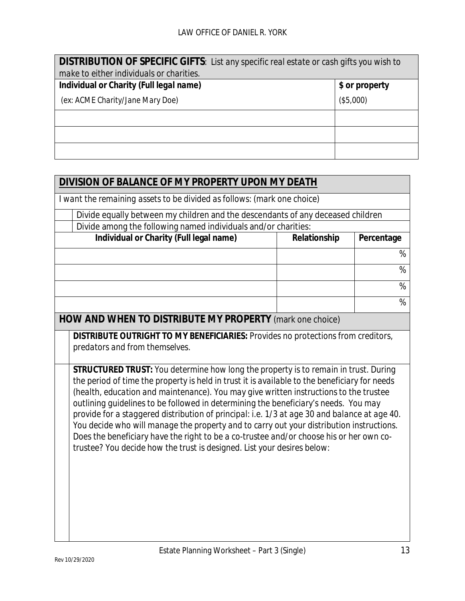| DISTRIBUTION OF SPECIFIC GIFTS: List any specific real estate or cash gifts you wish to |                |  |  |  |
|-----------------------------------------------------------------------------------------|----------------|--|--|--|
| make to either individuals or charities.                                                |                |  |  |  |
| Individual or Charity (Full legal name)                                                 | \$ or property |  |  |  |
| (ex: ACME Charity/Jane Mary Doe)                                                        | (\$5,000)      |  |  |  |
|                                                                                         |                |  |  |  |
|                                                                                         |                |  |  |  |
|                                                                                         |                |  |  |  |

| DIVISION OF BALANCE OF MY PROPERTY UPON MY DEATH                                                                                                                                                                                                                                                                                                                                                                                                                                                                                                                                                                                                                                                                                                                                                                                                             |              |            |  |  |  |
|--------------------------------------------------------------------------------------------------------------------------------------------------------------------------------------------------------------------------------------------------------------------------------------------------------------------------------------------------------------------------------------------------------------------------------------------------------------------------------------------------------------------------------------------------------------------------------------------------------------------------------------------------------------------------------------------------------------------------------------------------------------------------------------------------------------------------------------------------------------|--------------|------------|--|--|--|
| I want the remaining assets to be divided as follows: (mark one choice)                                                                                                                                                                                                                                                                                                                                                                                                                                                                                                                                                                                                                                                                                                                                                                                      |              |            |  |  |  |
| Divide equally between my children and the descendants of any deceased children                                                                                                                                                                                                                                                                                                                                                                                                                                                                                                                                                                                                                                                                                                                                                                              |              |            |  |  |  |
| Divide among the following named individuals and/or charities:                                                                                                                                                                                                                                                                                                                                                                                                                                                                                                                                                                                                                                                                                                                                                                                               |              |            |  |  |  |
| Individual or Charity (Full legal name)                                                                                                                                                                                                                                                                                                                                                                                                                                                                                                                                                                                                                                                                                                                                                                                                                      | Relationship | Percentage |  |  |  |
|                                                                                                                                                                                                                                                                                                                                                                                                                                                                                                                                                                                                                                                                                                                                                                                                                                                              |              | %          |  |  |  |
|                                                                                                                                                                                                                                                                                                                                                                                                                                                                                                                                                                                                                                                                                                                                                                                                                                                              |              | $\%$       |  |  |  |
|                                                                                                                                                                                                                                                                                                                                                                                                                                                                                                                                                                                                                                                                                                                                                                                                                                                              |              | %          |  |  |  |
|                                                                                                                                                                                                                                                                                                                                                                                                                                                                                                                                                                                                                                                                                                                                                                                                                                                              |              | %          |  |  |  |
| HOW AND WHEN TO DISTRIBUTE MY PROPERTY (mark one choice)                                                                                                                                                                                                                                                                                                                                                                                                                                                                                                                                                                                                                                                                                                                                                                                                     |              |            |  |  |  |
| DISTRIBUTE OUTRIGHT TO MY BENEFICIARIES: Provides no protections from creditors,<br>predators and from themselves.<br>STRUCTURED TRUST: You determine how long the property is to remain in trust. During<br>the period of time the property is held in trust it is available to the beneficiary for needs<br>(health, education and maintenance). You may give written instructions to the trustee<br>outlining guidelines to be followed in determining the beneficiary's needs. You may<br>provide for a staggered distribution of principal: i.e. 1/3 at age 30 and balance at age 40.<br>You decide who will manage the property and to carry out your distribution instructions.<br>Does the beneficiary have the right to be a co-trustee and/or choose his or her own co-<br>trustee? You decide how the trust is designed. List your desires below: |              |            |  |  |  |
|                                                                                                                                                                                                                                                                                                                                                                                                                                                                                                                                                                                                                                                                                                                                                                                                                                                              |              |            |  |  |  |